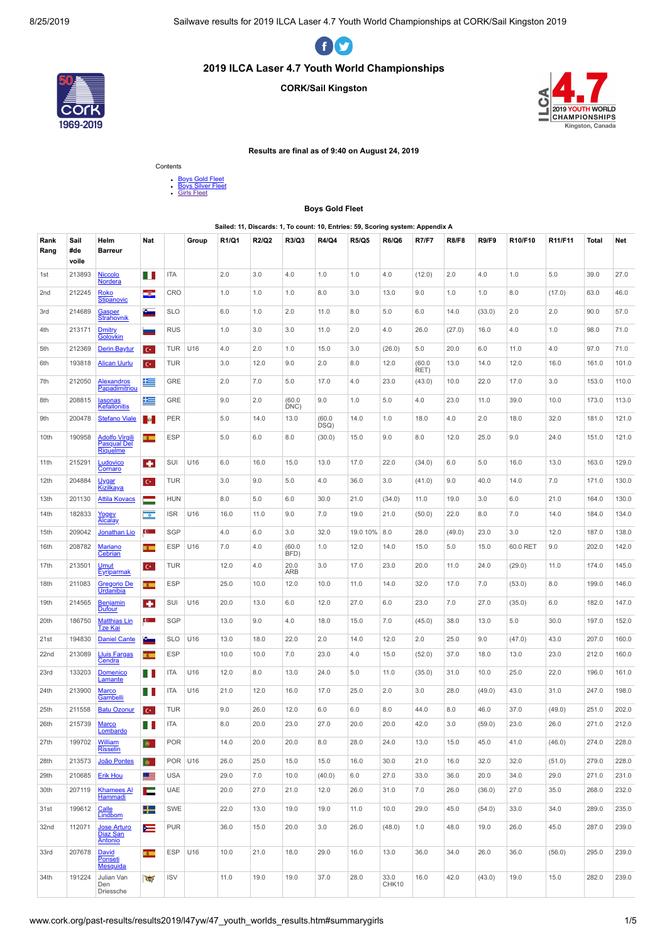

# **2019 ILCA Laser 4.7 Youth World Championships**

#### **CORK/Sail Kingston**





#### **Results are final as of 9:40 on August 24, 2019**

Contents



#### **Boys Gold Fleet**

#### **Sailed: 11, Discards: 1, To count: 10, Entries: 59, Scoring system: Appendix A**

<span id="page-0-0"></span>

| Rank<br>Rang | Sail<br>#de<br>voile | Helm<br><b>Barreur</b>                                  | Nat                      |                | Group | R1/Q1 | R2/Q2 | R3/Q3          | R4/Q4          | <b>R5/Q5</b> | <b>R6/Q6</b>  | <b>R7/F7</b>   | <b>R8/F8</b> | <b>R9/F9</b> | R10/F10  | R11/F11 | Total | Net   |
|--------------|----------------------|---------------------------------------------------------|--------------------------|----------------|-------|-------|-------|----------------|----------------|--------------|---------------|----------------|--------------|--------------|----------|---------|-------|-------|
| 1st          | 213893               | Niccolo<br>Nordera                                      | H                        | <b>ITA</b>     |       | 2.0   | 3.0   | 4.0            | 1.0            | 1.0          | 4.0           | (12.0)         | 2.0          | 4.0          | 1.0      | 5.0     | 39.0  | 27.0  |
| 2nd          | 212245               | <b>Roko</b><br><b>Stipanovic</b>                        | ÷                        | CRO            |       | 1.0   | 1.0   | 1.0            | 8.0            | 3.0          | 13.0          | 9.0            | 1.0          | 1.0          | 8.0      | (17.0)  | 63.0  | 46.0  |
| 3rd          | 214689               | Gasper<br><b>Strahovnik</b>                             | £.                       | <b>SLO</b>     |       | 6.0   | 1.0   | 2.0            | 11.0           | 8.0          | 5.0           | 6.0            | 14.0         | (33.0)       | 2.0      | 2.0     | 90.0  | 57.0  |
| 4th          | 213171               | Dmitry<br><b>Golovkin</b>                               | -                        | <b>RUS</b>     |       | 1.0   | 3.0   | 3.0            | 11.0           | 2.0          | 4.0           | 26.0           | (27.0)       | 16.0         | 4.0      | 1.0     | 98.0  | 71.0  |
| 5th          | 212369               | <b>Derin Baytur</b>                                     | $C^*$                    | <b>TUR</b>     | U16   | 4.0   | 2.0   | 1.0            | 15.0           | 3.0          | (26.0)        | 5.0            | 20.0         | 6.0          | 11.0     | 4.0     | 97.0  | 71.0  |
| 6th          | 193818               | <b>Alican Uurlu</b>                                     | $C^*$                    | <b>TUR</b>     |       | 3.0   | 12.0  | 9.0            | 2.0            | 8.0          | 12.0          | (60.0)<br>RET) | 13.0         | 14.0         | 12.0     | 16.0    | 161.0 | 101.0 |
| 7th          | 212050               | <b>Alexandros</b><br>Papadimitriou                      | 些                        | GRE            |       | 2.0   | 7.0   | 5.0            | 17.0           | 4.0          | 23.0          | (43.0)         | 10.0         | 22.0         | 17.0     | 3.0     | 153.0 | 110.0 |
| 8th          | 208815               | lasonas<br>Kefallonitis                                 | 隼                        | GRE            |       | 9.0   | 2.0   | (60.0)<br>DNC) | 9.0            | 1.0          | 5.0           | 4.0            | 23.0         | 11.0         | 39.0     | 10.0    | 173.0 | 113.0 |
| 9th          | 200478               | <b>Stefano Viale</b>                                    | $\mathcal{M}_\mathrm{c}$ | PER            |       | 5.0   | 14.0  | 13.0           | (60.0)<br>DSQ) | 14.0         | 1.0           | 18.0           | 4.0          | 2.0          | 18.0     | 32.0    | 181.0 | 121.0 |
| 10th         | 190958               | <u>Adolfo Virgili</u><br><b>Pasqual Del</b><br>Riquelme | $\overline{\phantom{a}}$ | <b>ESP</b>     |       | 5.0   | 6.0   | 8.0            | (30.0)         | 15.0         | 9.0           | 8.0            | 12.0         | 25.0         | 9.0      | 24.0    | 151.0 | 121.0 |
| 11th         | 215291               | Ludovico<br><b>Cornaro</b>                              | ÷                        | SUI            | U16   | 6.0   | 16.0  | 15.0           | 13.0           | 17.0         | 22.0          | (34.0)         | 6.0          | 5.0          | 16.0     | 13.0    | 163.0 | 129.0 |
| 12th         | 204884               | Uygar<br><u>Kizilkaya</u>                               | $C^*$                    | <b>TUR</b>     |       | 3.0   | 9.0   | 5.0            | 4.0            | 36.0         | 3.0           | (41.0)         | 9.0          | 40.0         | 14.0     | 7.0     | 171.0 | 130.0 |
| 13th         | 201130               | <b>Attila Kovacs</b>                                    | -                        | <b>HUN</b>     |       | 8.0   | 5.0   | 6.0            | 30.0           | 21.0         | (34.0)        | 11.0           | 19.0         | 3.0          | 6.0      | 21.0    | 164.0 | 130.0 |
| 14th         | 182833               | Yogev<br>Alcalay                                        | $\overline{\circ}$       | <b>ISR</b>     | U16   | 16.0  | 11.0  | 9.0            | 7.0            | 19.0         | 21.0          | (50.0)         | 22.0         | 8.0          | 7.0      | 14.0    | 184.0 | 134.0 |
| 15th         | 209042               | <b>Jonathan Lio</b>                                     | $\mathbf{c}$             | <b>SGP</b>     |       | 4.0   | 6.0   | 3.0            | 32.0           | 19.0 10% 8.0 |               | 28.0           | (49.0)       | 23.0         | 3.0      | 12.0    | 187.0 | 138.0 |
| 16th         | 208782               | Mariano<br>Cebrian                                      | $\overline{\phantom{a}}$ | <b>ESP</b>     | U16   | 7.0   | 4.0   | (60.0)<br>BFD) | 1.0            | 12.0         | 14.0          | 15.0           | 5.0          | 15.0         | 60.0 RET | 9.0     | 202.0 | 142.0 |
| 17th         | 213501               | <b>Umut</b><br>Eyriparmak                               | $\mathbf{C}^{\star}$     | <b>TUR</b>     |       | 12.0  | 4.0   | 20.0<br>ARB    | 3.0            | 17.0         | 23.0          | 20.0           | 11.0         | 24.0         | (29.0)   | 11.0    | 174.0 | 145.0 |
| 18th         | 211083               | <b>Gregorio De</b><br><b>Urdanibia</b>                  | $\overline{\phantom{a}}$ | <b>ESP</b>     |       | 25.0  | 10.0  | 12.0           | 10.0           | 11.0         | 14.0          | 32.0           | 17.0         | 7.0          | (53.0)   | 8.0     | 199.0 | 146.0 |
| 19th         | 214565               | <b>Benjamin</b><br><b>Dufour</b>                        | ٠                        | SUI            | U16   | 20.0  | 13.0  | 6.0            | 12.0           | 27.0         | 6.0           | 23.0           | 7.0          | 27.0         | (35.0)   | 6.0     | 182.0 | 147.0 |
| 20th         | 186750               | <b>Matthias Lin</b><br><u>Tze Kai</u>                   | $\mathbf{c}$             | SGP            |       | 13.0  | 9.0   | 4.0            | 18.0           | 15.0         | 7.0           | (45.0)         | 38.0         | 13.0         | 5.0      | 30.0    | 197.0 | 152.0 |
| 21st         | 194830               | <b>Daniel Cante</b>                                     | ÷.                       | <b>SLO</b>     | U16   | 13.0  | 18.0  | 22.0           | 2.0            | 14.0         | 12.0          | 2.0            | 25.0         | 9.0          | (47.0)   | 43.0    | 207.0 | 160.0 |
| 22nd         | 213089               | Lluis Fargas<br>Cendra                                  | $\overline{\phantom{a}}$ | <b>ESP</b>     |       | 10.0  | 10.0  | 7.0            | 23.0           | 4.0          | 15.0          | (52.0)         | 37.0         | 18.0         | 13.0     | 23.0    | 212.0 | 160.0 |
| 23rd         | 133203               | Domenico<br>Lamante                                     | H                        | <b>ITA</b>     | U16   | 12.0  | 8.0   | 13.0           | 24.0           | 5.0          | 11.0          | (35.0)         | 31.0         | 10.0         | 25.0     | 22.0    | 196.0 | 161.0 |
| 24th         | 213900               | <b>Marco</b><br>Gambelli                                | ш                        | <b>ITA</b>     | U16   | 21.0  | 12.0  | 16.0           | 17.0           | 25.0         | 2.0           | 3.0            | 28.0         | (49.0)       | 43.0     | 31.0    | 247.0 | 198.0 |
| 25th         | 211558               | <b>Batu Ozonur</b>                                      | $\mathbf{C}^{\star}$     | <b>TUR</b>     |       | 9.0   | 26.0  | 12.0           | 6.0            | 6.0          | 8.0           | 44.0           | 8.0          | 46.0         | 37.0     | (49.0)  | 251.0 | 202.0 |
| 26th         | 215739               | <b>Marco</b><br>Lombardo                                | H                        | <b>ITA</b>     |       | 8.0   | 20.0  | 23.0           | 27.0           | 20.0         | 20.0          | 42.0           | 3.0          | (59.0)       | 23.0     | 26.0    | 271.0 | 212.0 |
| 27th         | 199702               | William<br><b>Risselin</b>                              | $\Phi$                   | <b>POR</b>     |       | 14.0  | 20.0  | 20.0           | 8.0            | 28.0         | 24.0          | 13.0           | 15.0         | 45.0         | 41.0     | (46.0)  | 274.0 | 228.0 |
| 28th         | 213573               | João Pontes                                             | ÷.                       | <b>POR U16</b> |       | 26.0  | 25.0  | 15.0           | 15.0           | 16.0         | 30.0          | 21.0           | 16.0         | 32.0         | 32.0     | (51.0)  | 279.0 | 228.0 |
| 29th         | 210685               | <b>Erik Hou</b>                                         | ≔                        | <b>USA</b>     |       | 29.0  | 7.0   | 10.0           | (40.0)         | 6.0          | 27.0          | 33.0           | 36.0         | 20.0         | 34.0     | 29.0    | 271.0 | 231.0 |
| 30th         | 207119               | <b>Khamees Al</b><br>Hammadi                            | е                        | UAE            |       | 20.0  | 27.0  | 21.0           | 12.0           | 26.0         | 31.0          | 7.0            | 26.0         | (36.0)       | 27.0     | 35.0    | 268.0 | 232.0 |
| 31st         | 199612               | Calle<br>Lindbom                                        | ╄                        | SWE            |       | 22.0  | 13.0  | 19.0           | 19.0           | 11.0         | 10.0          | 29.0           | 45.0         | (54.0)       | 33.0     | 34.0    | 289.0 | 235.0 |
| 32nd         | 112071               | <b>Jose Arturo</b><br>Diaz San<br>Antonio               | ⋿                        | <b>PUR</b>     |       | 36.0  | 15.0  | 20.0           | 3.0            | 26.0         | (48.0)        | 1.0            | 48.0         | 19.0         | 26.0     | 45.0    | 287.0 | 239.0 |
| 33rd         | 207678               | David<br>Ponseti<br>Mesquida                            | $\overline{1}$           | <b>ESP</b>     | U16   | 10.0  | 21.0  | 18.0           | 29.0           | 16.0         | 13.0          | 36.0           | 34.0         | 26.0         | 36.0     | (56.0)  | 295.0 | 239.0 |
| 34th         | 191224               | Julian Van<br>Den<br>Driessche                          | $\overline{\mathbf{w}}$  | <b>ISV</b>     |       | 11.0  | 19.0  | 19.0           | 37.0           | 28.0         | 33.0<br>CHK10 | 16.0           | 42.0         | (43.0)       | 19.0     | 15.0    | 282.0 | 239.0 |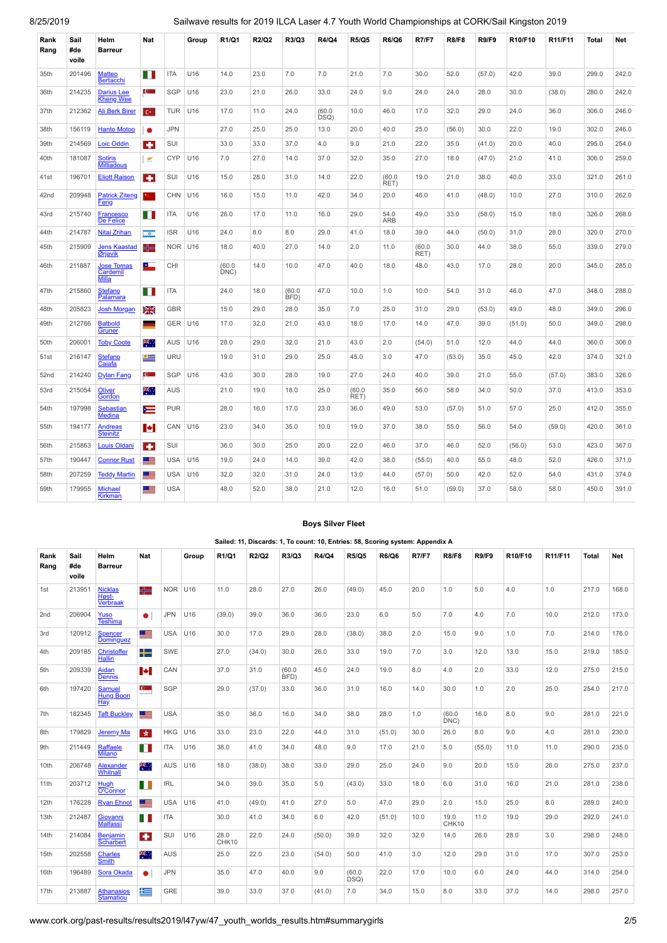| Rank<br>Rang | Sail<br>#de<br>voile | Helm<br><b>Barreur</b>                 | Nat                  |            | Group           | R1/Q1          | R2/Q2 | R3/Q3          | R4/Q4          | <b>R5/Q5</b>   | <b>R6/Q6</b>       | <b>R7/F7</b>   | <b>R8/F8</b> | <b>R9/F9</b> | R10/F10 | R11/F11 | Total | Net   |
|--------------|----------------------|----------------------------------------|----------------------|------------|-----------------|----------------|-------|----------------|----------------|----------------|--------------------|----------------|--------------|--------------|---------|---------|-------|-------|
| 35th         | 201496               | <b>Matteo</b><br><b>Bertacchi</b>      | H                    | <b>ITA</b> | U16             | 14.0           | 23.0  | 7.0            | 7.0            | 21.0           | 7.0                | 30.0           | 52.0         | (57.0)       | 42.0    | 39.0    | 299.0 | 242.0 |
| 36th         | 214235               | Darius Lee<br><b>Kheng Wee</b>         | $\mathbf{c}$         | <b>SGP</b> | U16             | 23.0           | 21.0  | 26.0           | 33.0           | 24.0           | 9.0                | 24.0           | 24.0         | 28.0         | 30.0    | (38.0)  | 280.0 | 242.0 |
| 37th         | 212362               | <b>Ali Berk Birer</b>                  | $C^*$                | <b>TUR</b> | U16             | 17.0           | 11.0  | 24.0           | (60.0)<br>DSQ) | 10.0           | 46.0               | 17.0           | 32.0         | 29.0         | 24.0    | 36.0    | 306.0 | 246.0 |
| 38th         | 156119               | <b>Hanto Motoo</b>                     | $\bullet$            | <b>JPN</b> |                 | 27.0           | 25.0  | 25.0           | 13.0           | 20.0           | 40.0               | 25.0           | (56.0)       | 30.0         | 22.0    | 19.0    | 302.0 | 246.0 |
| 39th         | 214569               | <b>Loic Oddin</b>                      | ٠                    | <b>SUI</b> |                 | 33.0           | 33.0  | 37.0           | 4.0            | 9.0            | 21.0               | 22.0           | 35.0         | (41.0)       | 20.0    | 40.0    | 295.0 | 254.0 |
| 40th         | 181087               | <b>Sotiris</b><br><b>Miltiadous</b>    | $\epsilon$           | <b>CYP</b> | U16             | 7.0            | 27.0  | 14.0           | 37.0           | 32.0           | 35.0               | 27.0           | 18.0         | (47.0)       | 21.0    | 41.0    | 306.0 | 259.0 |
| 41st         | 196701               | <b>Eliott Raison</b>                   | $\bullet$            | <b>SUI</b> | U16             | 15.0           | 28.0  | 31.0           | 14.0           | 22.0           | (60.0)<br>RET)     | 19.0           | 21.0         | 38.0         | 40.0    | 33.0    | 321.0 | 261.0 |
| 42nd         | 209948               | <b>Patrick Ziteng</b><br>Feng          | э.,                  | <b>CHN</b> | U16             | 16.0           | 15.0  | 11.0           | 42.0           | 34.0           | 20.0               | 46.0           | 41.0         | (48.0)       | 10.0    | 27.0    | 310.0 | 262.0 |
| 43rd         | 215740               | <b>Francesco</b><br>De Felice          | Ш                    | <b>ITA</b> | U16             | 26.0           | 17.0  | 11.0           | 16.0           | 29.0           | 54.0<br><b>ARB</b> | 49.0           | 33.0         | (58.0)       | 15.0    | 18.0    | 326.0 | 268.0 |
| 44th         | 214787               | Nitai Zrihan                           | $\overline{\bullet}$ | <b>ISR</b> | U <sub>16</sub> | 24.0           | 8.0   | 8.0            | 29.0           | 41.0           | 18.0               | 39.0           | 44.0         | (50.0)       | 31.0    | 28.0    | 320.0 | 270.0 |
| 45th         | 215909               | <b>Jens Kaastad</b><br>Ørjavik         | ╬═                   |            | NOR U16         | 18.0           | 40.0  | 27.0           | 14.0           | 2.0            | 11.0               | (60.0)<br>RET) | 30.0         | 44.0         | 38.0    | 55.0    | 339.0 | 279.0 |
| 46th         | 211887               | <b>Jose Tomas</b><br>Cardemil<br>Milla | ட                    | CHI        |                 | (60.0)<br>DNC) | 14.0  | 10.0           | 47.0           | 40.0           | 18.0               | 48.0           | 43.0         | 17.0         | 28.0    | 20.0    | 345.0 | 285.0 |
| 47th         | 215860               | <b>Stefano</b><br>Palamara             | H                    | <b>ITA</b> |                 | 24.0           | 18.0  | (60.0)<br>BFD) | 47.0           | 10.0           | 1.0                | 10.0           | 54.0         | 31.0         | 46.0    | 47.0    | 348.0 | 288.0 |
| 48th         | 205823               | <b>Josh Morgan</b>                     | Ж                    | <b>GBR</b> |                 | 15.0           | 29.0  | 28.0           | 35.0           | 7.0            | 25.0               | 31.0           | 29.0         | (53.0)       | 49.0    | 48.0    | 349.0 | 296.0 |
| 49th         | 212766               | <b>Batbold</b><br>Gruner               | ۰                    |            | GER U16         | 17.0           | 32.0  | 21.0           | 43.0           | 18.0           | 17.0               | 14.0           | 47.0         | 39.0         | (51.0)  | 50.0    | 349.0 | 298.0 |
| 50th         | 206001               | <b>Toby Coote</b>                      | 뾱.                   | AUS        | U16             | 28.0           | 29.0  | 32.0           | 21.0           | 43.0           | 2.0                | (54.0)         | 51.0         | 12.0         | 44.0    | 44.0    | 360.0 | 306.0 |
| 51st         | 216147               | <b>Stefano</b><br>Caiafa               | ≝                    | <b>URU</b> |                 | 19.0           | 31.0  | 29.0           | 25.0           | 45.0           | 3.0                | 47.0           | (53.0)       | 35.0         | 45.0    | 42.0    | 374.0 | 321.0 |
| 52nd         | 214240               | <b>Dylan Fang</b>                      | $\mathbf{c}$         | SGP        | U16             | 43.0           | 30.0  | 28.0           | 19.0           | 27.0           | 24.0               | 40.0           | 39.0         | 21.0         | 55.0    | (57.0)  | 383.0 | 326.0 |
| 53rd         | 215054               | <b>Oliver</b><br>Gordon                | 美国                   | <b>AUS</b> |                 | 21.0           | 19.0  | 18.0           | 25.0           | (60.0)<br>RET) | 35.0               | 56.0           | 58.0         | 34.0         | 50.0    | 37.0    | 413.0 | 353.0 |
| 54th         | 197998               | Sebastian<br>Medina                    | ī                    | <b>PUR</b> |                 | 28.0           | 16.0  | 17.0           | 23.0           | 36.0           | 49.0               | 53.0           | (57.0)       | 51.0         | 57.0    | 25.0    | 412.0 | 355.0 |
| 55th         | 194177               | <b>Andreas</b><br><b>Steinitz</b>      | м                    | CAN        | U16             | 23.0           | 34.0  | 35.0           | 10.0           | 19.0           | 37.0               | 38.0           | 55.0         | 56.0         | 54.0    | (59.0)  | 420.0 | 361.0 |
| 56th         | 215863               | <b>Louis Oldani</b>                    | $\bullet$            | <b>SUI</b> |                 | 36.0           | 30.0  | 25.0           | 20.0           | 22.0           | 46.0               | 37.0           | 46.0         | 52.0         | (56.0)  | 53.0    | 423.0 | 367.0 |
| 57th         | 190447               | <b>Connor Rust</b>                     | <u> =</u>            | <b>USA</b> | U16             | 19.0           | 24.0  | 14.0           | 39.0           | 42.0           | 38.0               | (55.0)         | 40.0         | 55.0         | 48.0    | 52.0    | 426.0 | 371.0 |
| 58th         | 207259               | <b>Teddy Martin</b>                    | Œ                    | <b>USA</b> | U16             | 32.0           | 32.0  | 31.0           | 24.0           | 13.0           | 44.0               | (57.0)         | 50.0         | 42.0         | 52.0    | 54.0    | 431.0 | 374.0 |
| 59th         | 179955               | <b>Michael</b><br>Kirkman              | Œ                    | <b>USA</b> |                 | 48.0           | 52.0  | 38.0           | 21.0           | 12.0           | 16.0               | 51.0           | (59.0)       | 37.0         | 58.0    | 58.0    | 450.0 | 391.0 |

## **Boys Silver Fleet**

<span id="page-1-0"></span>

|                 |                      |                                            |                          |                                    |           |               |        |                |        | Sailed: 11, Discards: 1, To count: 10, Entries: 58, Scoring system: Appendix A |              |              |                |              |         |         |              |       |
|-----------------|----------------------|--------------------------------------------|--------------------------|------------------------------------|-----------|---------------|--------|----------------|--------|--------------------------------------------------------------------------------|--------------|--------------|----------------|--------------|---------|---------|--------------|-------|
| Rank<br>Rang    | Sail<br>#de<br>voile | Helm<br><b>Barreur</b>                     | <b>Nat</b>               |                                    | Group     | R1/Q1         | R2/Q2  | R3/Q3          | R4/Q4  | <b>R5/Q5</b>                                                                   | <b>R6/Q6</b> | <b>R7/F7</b> | <b>R8/F8</b>   | <b>R9/F9</b> | R10/F10 | R11/F11 | <b>Total</b> | Net   |
| 1st             | 213951               | <b>Nicklas</b><br>Høst-<br><b>Verbraak</b> | ╬═                       |                                    | $NOR$ U16 | 11.0          | 28.0   | 27.0           | 26.0   | (49.0)                                                                         | 45.0         | 20.0         | 1.0            | 5.0          | 4.0     | 1.0     | 217.0        | 168.0 |
| 2 <sub>nd</sub> | 206904               | Yuso<br>Teshima                            | $\bullet$                | <b>JPN</b>                         | U16       | (39.0)        | 39.0   | 36.0           | 36.0   | 23.0                                                                           | 6.0          | 5.0          | 7.0            | 4.0          | 7.0     | 10.0    | 212.0        | 173.0 |
| 3rd             | 120912               | Spencer<br><b>Dominguez</b>                | <u>e s</u>               | <b>USA</b>                         | U16       | 30.0          | 17.0   | 29.0           | 28.0   | (38.0)                                                                         | 38.0         | 2.0          | 15.0           | 9.0          | 1.0     | 7.0     | 214.0        | 176.0 |
| 4th             | 209185               | Christoffer<br><b>Hallin</b>               | ┶                        | SWE                                |           | 27.0          | (34.0) | 30.0           | 26.0   | 33.0                                                                           | 19.0         | 7.0          | 3.0            | 12.0         | 13.0    | 15.0    | 219.0        | 185.0 |
| 5th             | 209339               | Aidan<br><b>Dennis</b>                     | $\left  \bullet \right $ | CAN                                |           | 37.0          | 31.0   | (60.0)<br>BFD) | 45.0   | 24.0                                                                           | 19.0         | 8.0          | 4.0            | 2.0          | 33.0    | 12.0    | 275.0        | 215.0 |
| 6th             | 197420               | <b>Samuel</b><br>Hung Boon<br>Hay          | $\mathbf{C}$             | SGP                                |           | 29.0          | (37.0) | 33.0           | 36.0   | 31.0                                                                           | 16.0         | 14.0         | 30.0           | 1.0          | 2.0     | 25.0    | 254.0        | 217.0 |
| 7th             | 182345               | <b>Taft Buckley</b>                        | 三                        | <b>USA</b>                         |           | 35.0          | 36.0   | 16.0           | 34.0   | 38.0                                                                           | 28.0         | 1.0          | (60.0)<br>DNC) | 16.0         | 8.0     | 9.0     | 281.0        | 221.0 |
| 8th             | 179829               | Jeremy Ma                                  | 女                        | <b>HKG</b>                         | U16       | 33.0          | 23.0   | 22.0           | 44.0   | 31.0                                                                           | (51.0)       | 30.0         | 26.0           | 8.0          | 9.0     | 4.0     | 281.0        | 230.0 |
| 9th             | 211449               | Raffaele<br><b>Milano</b>                  | ПT                       | <b>ITA</b>                         | U16       | 38.0          | 41.0   | 34.0           | 48.0   | 9.0                                                                            | 17.0         | 21.0         | 5.0            | (55.0)       | 11.0    | 11.0    | 290.0        | 235.0 |
| 10th            | 206748               | Alexander<br>Whitnall                      | ₩.,                      | <b>AUS</b>                         | U16       | 18.0          | (38.0) | 38.0           | 33.0   | 29.0                                                                           | 25.0         | 24.0         | 9.0            | 20.0         | 15.0    | 26.0    | 275.0        | 237.0 |
| 11th            | 203712               | Hugh<br>O'Connor                           | H                        | $\ensuremath{\mathsf{IRL}}\xspace$ |           | 34.0          | 39.0   | 35.0           | 5.0    | (43.0)                                                                         | 33.0         | 18.0         | 6.0            | 31.0         | 16.0    | 21.0    | 281.0        | 238.0 |
| 12th            | 176228               | <b>Ryan Ehnot</b>                          | ▝▆                       | <b>USA</b>                         | U16       | 41.0          | (49.0) | 41.0           | 27.0   | 5.0                                                                            | 47.0         | 29.0         | 2.0            | 15.0         | 25.0    | 8.0     | 289.0        | 240.0 |
| 13th            | 212487               | Giovanni<br><b>Malfassi</b>                | ПT                       | <b>ITA</b>                         |           | 30.0          | 41.0   | 34.0           | 6.0    | 42.0                                                                           | (51.0)       | 10.0         | 19.0<br>CHK10  | 11.0         | 19.0    | 29.0    | 292.0        | 241.0 |
| 14th            | 214084               | <b>Benjamin</b><br><b>Scharbert</b>        | $\bullet$                | SUI                                | U16       | 28.0<br>CHK10 | 22.0   | 24.0           | (50.0) | 39.0                                                                           | 32.0         | 32.0         | 14.0           | 26.0         | 28.0    | 3.0     | 298.0        | 248.0 |
| 15th            | 202558               | Charles<br><b>Smith</b>                    | ж.                       | <b>AUS</b>                         |           | 25.0          | 22.0   | 23.0           | (54.0) | 50.0                                                                           | 41.0         | 3.0          | 12.0           | 29.0         | 31.0    | 17.0    | 307.0        | 253.0 |
| 16th            | 196489               | Sora Okada                                 | $\bullet$                | <b>JPN</b>                         |           | 35.0          | 47.0   | 40.0           | 9.0    | (60.0)<br>DSQ)                                                                 | 22.0         | 17.0         | 10.0           | 6.0          | 24.0    | 44.0    | 314.0        | 254.0 |
| 17th            | 213887               | Athanasios<br><b>Stamatiou</b>             | 生                        | <b>GRE</b>                         |           | 39.0          | 33.0   | 37.0           | (41.0) | 7.0                                                                            | 34.0         | 15.0         | 8.0            | 33.0         | 37.0    | 14.0    | 298.0        | 257.0 |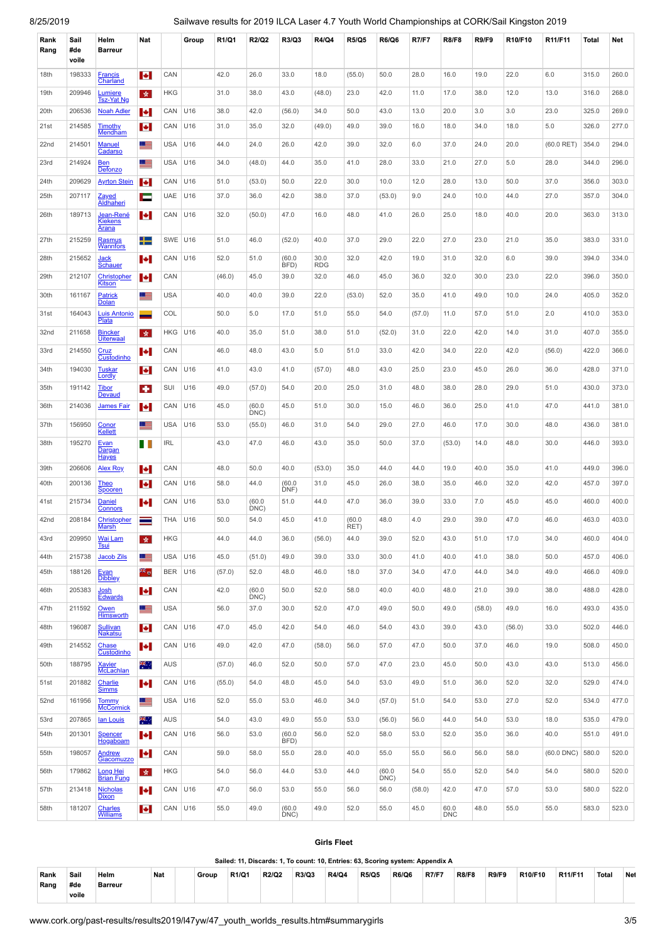| Rank<br>Rang | Sail<br>#de<br>voile | Helm<br><b>Barreur</b>               | Nat                      |            | Group | R1/Q1  | R2/Q2          | R3/Q3          | R4/Q4              | <b>R5/Q5</b>   | <b>R6/Q6</b>   | <b>R7/F7</b> | <b>R8/F8</b>       | <b>R9/F9</b> | R10/F10 | R11/F11         | Total | Net   |
|--------------|----------------------|--------------------------------------|--------------------------|------------|-------|--------|----------------|----------------|--------------------|----------------|----------------|--------------|--------------------|--------------|---------|-----------------|-------|-------|
| 18th         | 198333               | <b>Francis</b><br>Charland           | ы                        | CAN        |       | 42.0   | 26.0           | 33.0           | 18.0               | (55.0)         | 50.0           | 28.0         | 16.0               | 19.0         | 22.0    | 6.0             | 315.0 | 260.0 |
| 19th         | 209946               | Lumiere<br><b>Tsz-Yat Ng</b>         | 青                        | <b>HKG</b> |       | 31.0   | 38.0           | 43.0           | (48.0)             | 23.0           | 42.0           | 11.0         | 17.0               | 38.0         | 12.0    | 13.0            | 316.0 | 268.0 |
| 20th         | 206536               | <b>Noah Adler</b>                    | Е                        | CAN        | U16   | 38.0   | 42.0           | (56.0)         | 34.0               | 50.0           | 43.0           | 13.0         | 20.0               | 3.0          | 3.0     | 23.0            | 325.0 | 269.0 |
| 21st         | 214585               | <b>Timothy</b><br>Mendham            | <b>P</b>                 | CAN        | U16   | 31.0   | 35.0           | 32.0           | (49.0)             | 49.0           | 39.0           | 16.0         | 18.0               | 34.0         | 18.0    | 5.0             | 326.0 | 277.0 |
| 22nd         | 214501               | <b>Manuel</b><br>Cadarso             | <u>s a</u>               | <b>USA</b> | U16   | 44.0   | 24.0           | 26.0           | 42.0               | 39.0           | 32.0           | 6.0          | 37.0               | 24.0         | 20.0    | $(60.0$ RET)    | 354.0 | 294.0 |
| 23rd         | 214924               | <u>Ben</u><br>Defonzo                | 트                        | <b>USA</b> | U16   | 34.0   | (48.0)         | 44.0           | 35.0               | 41.0           | 28.0           | 33.0         | 21.0               | 27.0         | 5.0     | 28.0            | 344.0 | 296.0 |
| 24th         | 209629               | <b>Ayrton Stein</b>                  | м                        | CAN        | U16   | 51.0   | (53.0)         | 50.0           | 22.0               | 30.0           | 10.0           | 12.0         | 28.0               | 13.0         | 50.0    | 37.0            | 356.0 | 303.0 |
| 25th         | 207117               | <b>Zayed</b><br>Aldhaheri            | Е                        | UAE        | U16   | 37.0   | 36.0           | 42.0           | 38.0               | 37.0           | (53.0)         | 9.0          | 24.0               | 10.0         | 44.0    | 27.0            | 357.0 | 304.0 |
| 26th         | 189713               | Jean-René<br><b>Kiekens</b><br>Arana | м                        | CAN        | U16   | 32.0   | (50.0)         | 47.0           | 16.0               | 48.0           | 41.0           | 26.0         | 25.0               | 18.0         | 40.0    | 20.0            | 363.0 | 313.0 |
| 27th         | 215259               | Rasmus<br><b>Wannfors</b>            | ┿                        | SWE        | U16   | 51.0   | 46.0           | (52.0)         | 40.0               | 37.0           | 29.0           | 22.0         | 27.0               | 23.0         | 21.0    | 35.0            | 383.0 | 331.0 |
| 28th         | 215652               | <u>Jack</u><br>Schauer               | ы                        | CAN        | U16   | 52.0   | 51.0           | (60.0)<br>BFD) | 30.0<br><b>RDG</b> | 32.0           | 42.0           | 19.0         | 31.0               | 32.0         | 6.0     | 39.0            | 394.0 | 334.0 |
| 29th         | 212107               | Christopher<br><b>Kitson</b>         | м                        | CAN        |       | (46.0) | 45.0           | 39.0           | 32.0               | 46.0           | 45.0           | 36.0         | 32.0               | 30.0         | 23.0    | 22.0            | 396.0 | 350.0 |
| 30th         | 161167               | Patrick<br><b>Dolan</b>              | <u>e s</u>               | <b>USA</b> |       | 40.0   | 40.0           | 39.0           | 22.0               | (53.0)         | 52.0           | 35.0         | 41.0               | 49.0         | 10.0    | 24.0            | 405.0 | 352.0 |
| 31st         | 164043               | <b>Luis Antonio</b><br>Plata         |                          | COL        |       | 50.0   | 5.0            | 17.0           | 51.0               | 55.0           | 54.0           | (57.0)       | 11.0               | 57.0         | 51.0    | 2.0             | 410.0 | 353.0 |
| 32nd         | 211658               | <b>Bincker</b><br><b>Uiterwaal</b>   | 女                        | <b>HKG</b> | U16   | 40.0   | 35.0           | 51.0           | 38.0               | 51.0           | (52.0)         | 31.0         | 22.0               | 42.0         | 14.0    | 31.0            | 407.0 | 355.0 |
| 33rd         | 214550               | Cruz<br>Custodinho                   | <b>P</b>                 | CAN        |       | 46.0   | 48.0           | 43.0           | 5.0                | 51.0           | 33.0           | 42.0         | 34.0               | 22.0         | 42.0    | (56.0)          | 422.0 | 366.0 |
| 34th         | 194030               | <b>Tuskar</b><br><b>Lordly</b>       | <b>P</b>                 | CAN        | U16   | 41.0   | 43.0           | 41.0           | (57.0)             | 48.0           | 43.0           | 25.0         | 23.0               | 45.0         | 26.0    | 36.0            | 428.0 | 371.0 |
| 35th         | 191142               | <b>Tibor</b><br><b>Devaud</b>        | ٠                        | SUI        | U16   | 49.0   | (57.0)         | 54.0           | 20.0               | 25.0           | 31.0           | 48.0         | 38.0               | 28.0         | 29.0    | 51.0            | 430.0 | 373.0 |
| 36th         | 214036               | James Fair                           | Н                        | CAN        | U16   | 45.0   | (60.0)<br>DNC) | 45.0           | 51.0               | 30.0           | 15.0           | 46.0         | 36.0               | 25.0         | 41.0    | 47.0            | 441.0 | 381.0 |
| 37th         | 156950               | Conor<br><b>Kellett</b>              | <u>st</u>                | <b>USA</b> | U16   | 53.0   | (55.0)         | 46.0           | 31.0               | 54.0           | 29.0           | 27.0         | 46.0               | 17.0         | 30.0    | 48.0            | 436.0 | 381.0 |
| 38th         | 195270               | Evan<br>Dargan<br><b>Hayes</b>       | H                        | <b>IRL</b> |       | 43.0   | 47.0           | 46.0           | 43.0               | 35.0           | 50.0           | 37.0         | (53.0)             | 14.0         | 48.0    | 30.0            | 446.0 | 393.0 |
| 39th         | 206606               | <b>Alex Roy</b>                      | <b>P</b>                 | CAN        |       | 48.0   | 50.0           | 40.0           | (53.0)             | 35.0           | 44.0           | 44.0         | 19.0               | 40.0         | 35.0    | 41.0            | 449.0 | 396.0 |
| 40th         | 200136               | <b>Theo</b><br>Spooren               | <b>P</b>                 | CAN        | U16   | 58.0   | 44.0           | (60.0)<br>DNF) | 31.0               | 45.0           | 26.0           | 38.0         | 35.0               | 46.0         | 32.0    | 42.0            | 457.0 | 397.0 |
| 41st         | 215734               | <b>Daniel</b><br><b>Connors</b>      | <b>P</b>                 | CAN        | U16   | 53.0   | (60.0)<br>DNC) | 51.0           | 44.0               | 47.0           | 36.0           | 39.0         | 33.0               | 7.0          | 45.0    | 45.0            | 460.0 | 400.0 |
| 42nd         | 208184               | Christopher<br><b>Marsh</b>          | ≕                        | THA        | U16   | 50.0   | 54.0           | 45.0           | 41.0               | (60.0)<br>RET) | 48.0           | 4.0          | 29.0               | 39.0         | 47.0    | 46.0            | 463.0 | 403.0 |
| 43rd         | 209950               | <b>Wai Lam</b><br><b>Tsui</b>        | 女                        | <b>HKG</b> |       | 44.0   | 44.0           | 36.0           | (56.0)             | 44.0           | 39.0           | 52.0         | 43.0               | 51.0         | 17.0    | 34.0            | 460.0 | 404.0 |
| 44th         | 215738               | Jacob Zils                           | ≊                        | <b>USA</b> | U16   | 45.0   | (51.0)         | 49.0           | 39.0               | 33.0           | 30.0           | 41.0         | 40.0               | 41.0         | 38.0    | 50.0            | 457.0 | 406.0 |
| 45th         | 188126               | Evan<br><b>Dibbley</b>               | ≥€ o                     | <b>BER</b> | U16   | (57.0) | 52.0           | 48.0           | 46.0               | 18.0           | 37.0           | 34.0         | 47.0               | 44.0         | 34.0    | 49.0            | 466.0 | 409.0 |
| 46th         | 205383               | Josh<br><b>Edwards</b>               | $\left  \bullet \right $ | CAN        |       | 42.0   | (60.0)<br>DNC) | 50.0           | 52.0               | 58.0           | 40.0           | 40.0         | 48.0               | 21.0         | 39.0    | 38.0            | 488.0 | 428.0 |
| 47th         | 211592               | Owen<br><b>Himsworth</b>             | 트                        | <b>USA</b> |       | 56.0   | 37.0           | 30.0           | 52.0               | 47.0           | 49.0           | 50.0         | 49.0               | (58.0)       | 49.0    | 16.0            | 493.0 | 435.0 |
| 48th         | 196087               | <b>Sullivan</b><br><b>Nakatsu</b>    | H                        | CAN        | U16   | 47.0   | 45.0           | 42.0           | 54.0               | 46.0           | 54.0           | 43.0         | 39.0               | 43.0         | (56.0)  | 33.0            | 502.0 | 446.0 |
| 49th         | 214552               | Chase<br>Custodinho                  | Н                        | CAN        | U16   | 49.0   | 42.0           | 47.0           | (58.0)             | 56.0           | 57.0           | 47.0         | 50.0               | 37.0         | 46.0    | 19.0            | 508.0 | 450.0 |
| 50th         | 188795               | <b>Xavier</b><br>McLachlan           | æ,                       | AUS        |       | (57.0) | 46.0           | 52.0           | 50.0               | 57.0           | 47.0           | 23.0         | 45.0               | 50.0         | 43.0    | 43.0            | 513.0 | 456.0 |
| 51st         | 201882               | Charlie<br><b>Simms</b>              | Н                        | CAN        | U16   | (55.0) | 54.0           | 48.0           | 45.0               | 54.0           | 53.0           | 49.0         | 51.0               | 36.0         | 52.0    | 32.0            | 529.0 | 474.0 |
| 52nd         | 161956               | Tommy<br>McCormick                   | 트                        | <b>USA</b> | U16   | 52.0   | 55.0           | 53.0           | 46.0               | 34.0           | (57.0)         | 51.0         | 54.0               | 53.0         | 27.0    | 52.0            | 534.0 | 477.0 |
| 53rd         | 207865               | lan Louis                            | ж.,                      | AUS        |       | 54.0   | 43.0           | 49.0           | 55.0               | 53.0           | (56.0)         | 56.0         | 44.0               | 54.0         | 53.0    | 18.0            | 535.0 | 479.0 |
| 54th         | 201301               | Spencer<br>Hogaboam                  | <b>P</b>                 | CAN        | U16   | 56.0   | 53.0           | (60.0)<br>BFD) | 56.0               | 52.0           | 58.0           | 53.0         | 52.0               | 35.0         | 36.0    | 40.0            | 551.0 | 491.0 |
| 55th         | 198057               | Andrew<br>Giacomuzzo                 | <b>P</b>                 | CAN        |       | 59.0   | 58.0           | 55.0           | 28.0               | 40.0           | 55.0           | 55.0         | 56.0               | 56.0         | 58.0    | $(60.0$ DNC $)$ | 580.0 | 520.0 |
| 56th         | 179862               | <b>Long Hei</b><br><b>Brian Fung</b> | 女                        | <b>HKG</b> |       | 54.0   | 56.0           | 44.0           | 53.0               | 44.0           | (60.0)<br>DNC) | 54.0         | 55.0               | 52.0         | 54.0    | 54.0            | 580.0 | 520.0 |
| 57th         | 213418               | <b>Nicholas</b><br><b>Dixon</b>      | $\left  \bullet \right $ | CAN        | U16   | 47.0   | 56.0           | 53.0           | 55.0               | 56.0           | 56.0           | (58.0)       | 42.0               | 47.0         | 57.0    | 53.0            | 580.0 | 522.0 |
| 58th         | 181207               | Charles<br><b>Williams</b>           | Н                        | CAN U16    |       | 55.0   | 49.0           | (60.0)<br>DNC) | 49.0               | 52.0           | 55.0           | 45.0         | 60.0<br><b>DNC</b> | 48.0         | 55.0    | 55.0            | 583.0 | 523.0 |

#### <span id="page-2-0"></span>**Girls Fleet Sailed: 11, Discards: 1, To count: 10, Entries: 63, Scoring system: Appendix A Rank Rang Sail #de voile Helm Barreur Nat Group R1/Q1 R2/Q2 R3/Q3 R4/Q4 R5/Q5 R6/Q6 R7/F7 R8/F8 R9/F9 R10/F10 R11/F11 Total Net**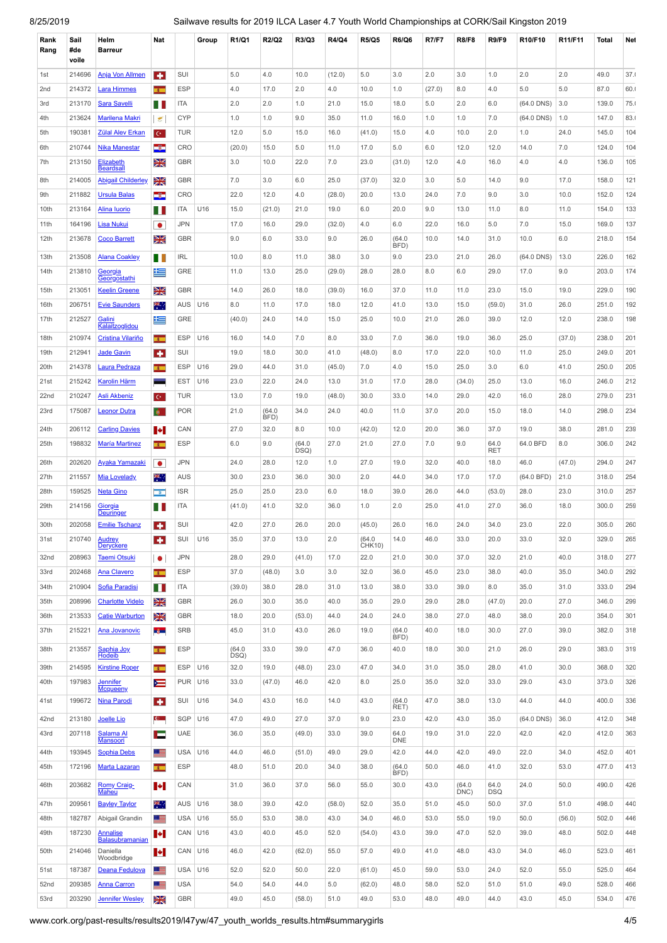| Rank<br>Rang     | Sail<br>#de<br>voile | Helm<br><b>Barreur</b>                        | Nat                      |                | Group      | R1/Q1        | R2/Q2          | R3/Q3          | <b>R4/Q4</b> | <b>R5/Q5</b>          | <b>R6/Q6</b>       | <b>R7/F7</b> | <b>R8/F8</b> | <b>R9/F9</b>       | R10/F10      | R11/F11        | Total | Net        |
|------------------|----------------------|-----------------------------------------------|--------------------------|----------------|------------|--------------|----------------|----------------|--------------|-----------------------|--------------------|--------------|--------------|--------------------|--------------|----------------|-------|------------|
| 1st              | 214696               | <b>Anja Von Allmen</b>                        | ÷                        | SUI            |            | 5.0          | 4.0            | 10.0           | (12.0)       | 5.0                   | 3.0                | 2.0          | 3.0          | 1.0                | 2.0          | 2.0            | 49.0  | 37.1       |
| 2nd              | 214372               | <b>Lara Himmes</b>                            | $\overline{1}$           | <b>ESP</b>     |            | 4.0          | 17.0           | 2.0            | 4.0          | 10.0                  | 1.0                | (27.0)       | 8.0          | 4.0                | 5.0          | 5.0            | 87.0  | 60.1       |
| 3rd              | 213170               | <b>Sara Savelli</b>                           | ш                        | <b>ITA</b>     |            | 2.0          | 2.0            | 1.0            | 21.0         | 15.0                  | 18.0               | 5.0          | 2.0          | 6.0                | $(64.0$ DNS) | 3.0            | 139.0 | 75.1       |
| 4th              | 213624               | <b>Marilena Makri</b>                         | $\epsilon$               | <b>CYP</b>     |            | 1.0          | 1.0            | 9.0            | 35.0         | 11.0                  | 16.0               | 1.0          | 1.0          | 7.0                | $(64.0$ DNS) | 1.0            | 147.0 | 83.1       |
| 5th              | 190381               | <b>Zülal Alev Erkan</b>                       | $\mathbf{C}^*$           | <b>TUR</b>     |            | 12.0         | 5.0            | 15.0           | 16.0         | (41.0)                | 15.0               | 4.0          | 10.0         | 2.0                | 1.0          | 24.0           | 145.0 | 104        |
| 6th              | 210744               | <b>Nika Manestar</b>                          | -3-                      | <b>CRO</b>     |            | (20.0)       | 15.0           | 5.0            | 11.0         | 17.0                  | 5.0                | 6.0          | 12.0         | 12.0               | 14.0         | 7.0            | 124.0 | 104        |
| 7th              | 213150               | <u>Elizabeth</u>                              | Ж                        | <b>GBR</b>     |            | 3.0          | 10.0           | 22.0           | 7.0          | 23.0                  | (31.0)             | 12.0         | 4.0          | 16.0               | 4.0          | 4.0            | 136.0 | 105        |
| 8th              | 214005               | <b>Beardsall</b><br><b>Abigail Childerley</b> | Ж                        | <b>GBR</b>     |            | 7.0          | 3.0            | 6.0            | 25.0         | (37.0)                | 32.0               | 3.0          | 5.0          | 14.0               | 9.0          | 17.0           | 158.0 | 121        |
| 9th              | 211882               | <b>Ursula Balas</b>                           | -3-                      | CRO            |            | 22.0         | 12.0           | 4.0            | (28.0)       | 20.0                  | 13.0               | 24.0         | 7.0          | 9.0                | 3.0          | 10.0           | 152.0 | 124        |
| 10th             | 213164               | Alina luorio                                  | ш                        | <b>ITA</b>     | U16        | 15.0         | (21.0)         | 21.0           | 19.0         | 6.0                   | 20.0               | 9.0          | 13.0         | 11.0               | 8.0          | 11.0           | 154.0 | 133        |
| 11th             | 164196               | Lisa Nukui                                    | $\bullet$                | <b>JPN</b>     |            | 17.0         | 16.0           | 29.0           | (32.0)       | 4.0                   | 6.0                | 22.0         | 16.0         | 5.0                | 7.0          | 15.0           | 169.0 | 137        |
| 12th             | 213678               | <b>Coco Barrett</b>                           | Ж                        | <b>GBR</b>     |            | 9.0          | 6.0            | 33.0           | 9.0          | 26.0                  | (64.0)             | 10.0         | 14.0         | 31.0               | 10.0         | 6.0            | 218.0 | 154        |
| 13th             | 213508               | <b>Alana Coakley</b>                          |                          | IRL            |            | 10.0         | 8.0            | 11.0           | 38.0         | 3.0                   | BFD)<br>9.0        | 23.0         | 21.0         | 26.0               | (64.0 DNS)   | 13.0           | 226.0 | 162        |
| 14th             | 213810               |                                               | П<br>£                   | GRE            |            | 11.0         | 13.0           | 25.0           | (29.0)       | 28.0                  | 28.0               | 8.0          | 6.0          | 29.0               | 17.0         | 9.0            | 203.0 | 174        |
|                  |                      | <u>Georgia</u><br><b>Georgostathi</b>         |                          |                |            |              |                |                |              |                       |                    |              |              |                    |              |                |       |            |
| 15th             | 213051               | <b>Keelin Greene</b>                          | Ж                        | <b>GBR</b>     |            | 14.0         | 26.0           | 18.0           | (39.0)       | 16.0                  | 37.0               | 11.0         | 11.0         | 23.0               | 15.0         | 19.0           | 229.0 | 190        |
| 16th             | 206751               | <b>Evie Saunders</b>                          | 类。                       | AUS            | U16        | 8.0          | 11.0           | 17.0           | 18.0         | 12.0                  | 41.0               | 13.0         | 15.0         | (59.0)             | 31.0         | 26.0           | 251.0 | 192        |
| 17th             | 212527               | <u>Galini</u><br><b>Kalaitzoglidou</b>        | 隼                        | GRE            |            | (40.0)       | 24.0           | 14.0           | 15.0         | 25.0                  | 10.0               | 21.0         | 26.0         | 39.0               | 12.0         | 12.0           | 238.0 | 198        |
| 18th             | 210974               | <b>Cristina Vilariño</b>                      | $\overline{1}$           | <b>ESP</b>     | U16        | 16.0         | 14.0           | 7.0            | 8.0          | 33.0                  | 7.0                | 36.0         | 19.0         | 36.0               | 25.0         | (37.0)         | 238.0 | 201        |
| 19th             | 212941               | Jade Gavin                                    | ۰                        | SUI            |            | 19.0         | 18.0           | 30.0           | 41.0         | (48.0)                | 8.0                | 17.0         | 22.0         | 10.0               | 11.0         | 25.0           | 249.0 | 201        |
| 20th             | 214378               | Laura Pedraza                                 | $\mathbf{r}$             | <b>ESP</b>     | U16        | 29.0         | 44.0           | 31.0           | (45.0)       | 7.0                   | 4.0                | 15.0         | 25.0         | 3.0                | 6.0          | 41.0           | 250.0 | 205        |
| 21st             | 215242               | <b>Karolin Härm</b>                           | -                        | <b>EST</b>     | U16        | 23.0         | 22.0           | 24.0           | 13.0         | 31.0                  | 17.0               | 28.0         | (34.0)       | 25.0               | 13.0         | 16.0           | 246.0 | 212        |
| 22nd             | 210247               | <b>Asli Akbeniz</b>                           | $\mathbf{C}^{\star}$     | <b>TUR</b>     |            | 13.0         | 7.0            | 19.0           | (48.0)       | 30.0                  | 33.0               | 14.0         | 29.0         | 42.0               | 16.0         | 28.0           | 279.0 | 231        |
| 23rd             | 175087               | <b>Leonor Dutra</b>                           | Ф.                       | <b>POR</b>     |            | 21.0         | (64.0)<br>BFD) | 34.0           | 24.0         | 40.0                  | 11.0               | 37.0         | 20.0         | 15.0               | 18.0         | 14.0           | 298.0 | 234        |
| 24th             | 206112               | <b>Carling Davies</b>                         | м                        | CAN            |            | 27.0         | 32.0           | 8.0            | 10.0         | (42.0)                | 12.0               | 20.0         | 36.0         | 37.0               | 19.0         | 38.0           | 281.0 | 239        |
| 25th             | 198832               | <b>María Martinez</b>                         | $\mathbf{r}$             | <b>ESP</b>     |            | 6.0          | 9.0            | (64.0)<br>DSQ) | 27.0         | 21.0                  | 27.0               | 7.0          | 9.0          | 64.0<br><b>RET</b> | 64.0 BFD     | 8.0            | 306.0 | 242        |
| 26th             | 202620               | <u>Ayaka Yamazaki</u>                         | ٠                        | <b>JPN</b>     |            | 24.0         | 28.0           | 12.0           | 1.0          | 27.0                  | 19.0               | 32.0         | 40.0         | 18.0               | 46.0         | (47.0)         | 294.0 | 247        |
| 27th             | 211557               | <b>Mia Lovelady</b>                           | 米                        | AUS            |            | 30.0         | 23.0           | 36.0           | 30.0         | 2.0                   | 44.0               | 34.0         | 17.0         | 17.0               | $(64.0$ BFD) | 21.0           | 318.0 | 254        |
| 28th             | 159525               | <b>Neta Gino</b>                              | $\alpha$                 | ISR            |            | 25.0         | 25.0           | 23.0           | 6.0          | 18.0                  | 39.0               | 26.0         | 44.0         | (53.0)             | 28.0         | 23.0           | 310.0 | 257        |
| 29th             | 214156               | Giorgia<br>Deuringer                          | ш                        | ITA            |            | (41.0)       | 41.0           | 32.0           | 36.0         | 1.0                   | 2.0                | 25.0         | 41.0         | 27.0               | 36.0         | 18.0           | 300.0 | 259        |
| 30th             | 202058               | <b>Emilie Tschanz</b>                         | ÷                        | SUI            |            | 42.0         | 27.0           | 26.0           | 20.0         | (45.0)                | 26.0               | 16.0         | 24.0         | 34.0               | 23.0         | 22.0           | 305.0 | <b>260</b> |
| 31st             | 210740               | <b>Audrey</b>                                 | ÷                        | SUI            | U16        | 35.0         | 37.0           | 13.0           | 2.0          | (64.0)                | 14.0               | 46.0         | 33.0         | 20.0               | 33.0         | 32.0           | 329.0 | 265        |
| 32nd             | 208963               | <b>Deryckere</b><br><b>Taemi Otsuki</b>       | ۰                        | <b>JPN</b>     |            | 28.0         | 29.0           | (41.0)         | 17.0         | <b>CHK10)</b><br>22.0 | 21.0               | 30.0         | 37.0         | 32.0               | 21.0         | 40.0           | 318.0 | 277        |
| 33rd             | 202468               | Ana Clavero                                   | $\mathbf{r}$             | <b>ESP</b>     |            | 37.0         | (48.0)         | 3.0            | 3.0          | 32.0                  | 36.0               | 45.0         | 23.0         | 38.0               | 40.0         | 35.0           | 340.0 | 292        |
| 34th             | 210904               | Sofia Paradisi                                | Ш                        | <b>ITA</b>     |            | (39.0)       | 38.0           | 28.0           | 31.0         | 13.0                  | 38.0               | 33.0         | 39.0         | 8.0                | 35.0         | 31.0           | 333.0 | 294        |
| 35th             | 208996               | <b>Charlotte Videlo</b>                       | Ж                        | GBR            |            | 26.0         | 30.0           | 35.0           | 40.0         | 35.0                  | 29.0               | 29.0         | 28.0         | (47.0)             | 20.0         | 27.0           | 346.0 | 299        |
| 36th             | 213533               | <b>Catie Warburton</b>                        | Ж                        | <b>GBR</b>     |            | 18.0         | 20.0           | (53.0)         | 44.0         | 24.0                  | 24.0               | 38.0         | 27.0         | 48.0               | 38.0         | 20.0           | 354.0 | 301        |
| 37th             | 215221               | Ana Jovanovic                                 | <b>Section</b>           | <b>SRB</b>     |            | 45.0         | 31.0           | 43.0           | 26.0         | 19.0                  | (64.0)             | 40.0         | 18.0         | 30.0               | 27.0         | 39.0           | 382.0 | 318        |
| 38th             | 213557               | Saphia Joy                                    | $\mathbf{r}$             | <b>ESP</b>     |            | (64.0)       | 33.0           | 39.0           | 47.0         | 36.0                  | BFD)<br>40.0       | 18.0         | 30.0         | 21.0               | 26.0         | 29.0           | 383.0 | 319        |
|                  |                      | Hodeib                                        |                          |                |            | DSQ)         |                |                |              |                       |                    |              |              |                    |              |                |       |            |
| 39th             | 214595               | <b>Kirstine Roper</b>                         | $\overline{1}$           | <b>ESP</b>     | U16        | 32.0         | 19.0           | (48.0)         | 23.0         | 47.0                  | 34.0               | 31.0         | 35.0         | 28.0               | 41.0         | 30.0<br>43.0   | 368.0 | 32C        |
| 40th             | 197983               | <u>Jennifer</u><br><b>Mcqueeny</b>            | $\equiv$                 | <b>PUR U16</b> |            | 33.0         | (47.0)         | 46.0           | 42.0         | 8.0                   | 25.0               | 35.0         | 32.0         | 33.0               | 29.0         |                | 373.0 | 326        |
| 41st             | 199672               | <b>Nina Parodi</b>                            | <b>A</b>                 | SUI            | U16        | 34.0         | 43.0           | 16.0           | 14.0         | 43.0                  | (64.0)<br>RET)     | 47.0         | 38.0         | 13.0               | 44.0         | 44.0           | 400.0 | 336        |
| 42nd             | 213180               | Joelle Lio                                    | $\mathbf{c}$             | <b>SGP</b>     | U16        | 47.0         | 49.0           | 27.0           | 37.0         | 9.0                   | 23.0               | 42.0         | 43.0         | 35.0               | (64.0 DNS)   | 36.0           | 412.0 | 348        |
| 43rd             | 207118               | Salama Al<br><b>Mansoori</b>                  | Е                        | <b>UAE</b>     |            | 36.0         | 35.0           | (49.0)         | 33.0         | 39.0                  | 64.0<br><b>DNE</b> | 19.0         | 31.0         | 22.0               | 42.0         | 42.0           | 412.0 | 363        |
| 44th             | 193945               | Sophia Debs                                   | 르                        | <b>USA</b>     | U16        | 44.0         | 46.0           | (51.0)         | 49.0         | 29.0                  | 42.0               | 44.0         | 42.0         | 49.0               | 22.0         | 34.0           | 452.0 | 401        |
| 45th             | 172196               | <b>Marta Lazaran</b>                          | $\overline{\mathbf{r}}$  | <b>ESP</b>     |            | 48.0         | 51.0           | 20.0           | 34.0         | 38.0                  | (64.0)             | 50.0         | 46.0         | 41.0               | 32.0         | 53.0           | 477.0 | 413        |
| 46th             | 203682               | Romy Craig-                                   | ы                        | CAN            |            | 31.0         | 36.0           | 37.0           | 56.0         | 55.0                  | BFD)<br>30.0       | 43.0         | (64.0)       | 64.0               | 24.0         | 50.0           | 490.0 | 426        |
|                  |                      | Maheu                                         |                          |                |            |              |                |                |              |                       |                    |              | DNC)         | <b>DSQ</b>         |              |                |       |            |
| 47th             | 209561               | <b>Bayley Taylor</b>                          | ж.                       | AUS            | U16        | 38.0         | 39.0           | 42.0           | (58.0)       | 52.0                  | 35.0               | 51.0         | 45.0         | 50.0               | 37.0         | 51.0           | 498.0 | 440        |
| 48th<br>49th     | 182787               | Abigail Grandin                               | <u>re</u>                | <b>USA</b>     | U16<br>U16 | 55.0<br>43.0 | 53.0<br>40.0   | 38.0<br>45.0   | 43.0         | 34.0                  | 46.0<br>43.0       | 53.0<br>39.0 | 55.0<br>47.0 | 19.0               | 50.0<br>39.0 | (56.0)<br>48.0 | 502.0 | 446<br>448 |
|                  | 187230               | Annalise<br>Balasubramanian                   | $\left  \bullet \right $ | CAN            |            |              |                |                | 52.0         | (54.0)                |                    |              |              | 52.0               |              |                | 502.0 |            |
| 50th             | 214046               | Daniella<br>Woodbridge                        | $\left  \bullet \right $ | CAN U16        |            | 46.0         | 42.0           | (62.0)         | 55.0         | 57.0                  | 49.0               | 41.0         | 48.0         | 43.0               | 34.0         | 46.0           | 523.0 | 461        |
| 51st             | 187387               | Deana Fedulova                                | œ                        | <b>USA</b>     | U16        | 52.0         | 52.0           | 50.0           | 22.0         | (61.0)                | 45.0               | 59.0         | 53.0         | 24.0               | 52.0         | 55.0           | 525.0 | 464        |
| 52 <sub>nd</sub> | 209385               | <b>Anna Carron</b>                            | œ                        | <b>USA</b>     |            | 54.0         | 54.0           | 44.0           | 5.0          | (62.0)                | 48.0               | 58.0         | 52.0         | 51.0               | 51.0         | 49.0           | 528.0 | 466        |
| 53rd             | 203290               | <b>Jennifer Wesley</b>                        | Ж                        | <b>GBR</b>     |            | 49.0         | 45.0           | (58.0)         | 51.0         | 49.0                  | 53.0               | 48.0         | 49.0         | 44.0               | 43.0         | 45.0           | 534.0 | 476        |